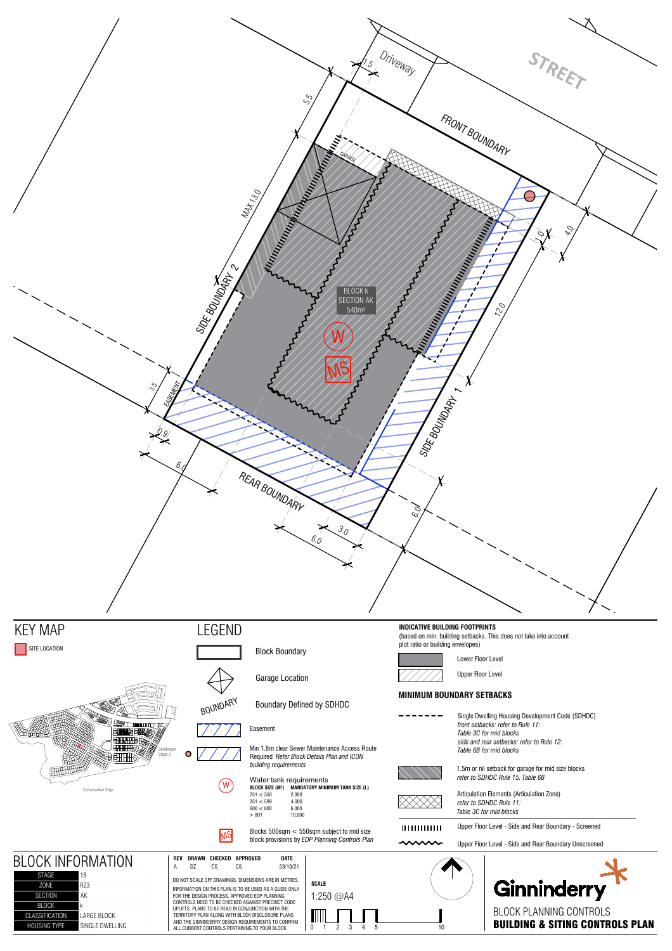